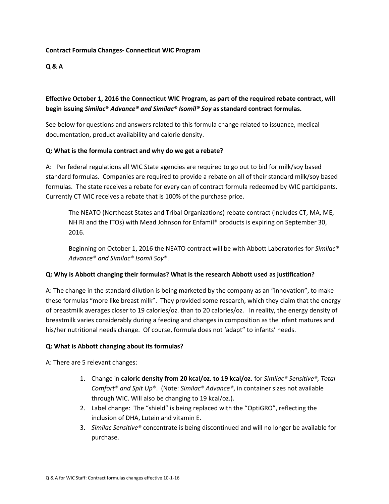#### **Contract Formula Changes- Connecticut WIC Program**

#### **Q & A**

## **Effective October 1, 2016 the Connecticut WIC Program, as part of the required rebate contract, will begin issuing** *Similac***®** *Advance® and Similac® Isomil® Soy* **as standard contract formulas.**

See below for questions and answers related to this formula change related to issuance, medical documentation, product availability and calorie density.

#### **Q: What is the formula contract and why do we get a rebate?**

A: Per federal regulations all WIC State agencies are required to go out to bid for milk/soy based standard formulas. Companies are required to provide a rebate on all of their standard milk/soy based formulas. The state receives a rebate for every can of contract formula redeemed by WIC participants. Currently CT WIC receives a rebate that is 100% of the purchase price.

The NEATO (Northeast States and Tribal Organizations) rebate contract (includes CT, MA, ME, NH RI and the ITOs) with Mead Johnson for Enfamil® products is expiring on September 30, 2016.

Beginning on October 1, 2016 the NEATO contract will be with Abbott Laboratories for *Similac® Advance® and Similac® Isomil Soy®*.

#### **Q: Why is Abbott changing their formulas? What is the research Abbott used as justification?**

A: The change in the standard dilution is being marketed by the company as an "innovation", to make these formulas "more like breast milk". They provided some research, which they claim that the energy of breastmilk averages closer to 19 calories/oz. than to 20 calories/oz. In reality, the energy density of breastmilk varies considerably during a feeding and changes in composition as the infant matures and his/her nutritional needs change. Of course, formula does not 'adapt" to infants' needs.

#### **Q: What is Abbott changing about its formulas?**

A: There are 5 relevant changes:

- 1. Change in **caloric density from 20 kcal/oz. to 19 kcal/oz.** for *Similac® Sensitive®, Total Comfort® and Spit Up®*. (Note: *Similac® Advance®*, in container sizes not available through WIC. Will also be changing to 19 kcal/oz.).
- 2. Label change: The "shield" is being replaced with the "OptiGRO", reflecting the inclusion of DHA, Lutein and vitamin E.
- 3. *Similac Sensitive®* concentrate is being discontinued and will no longer be available for purchase.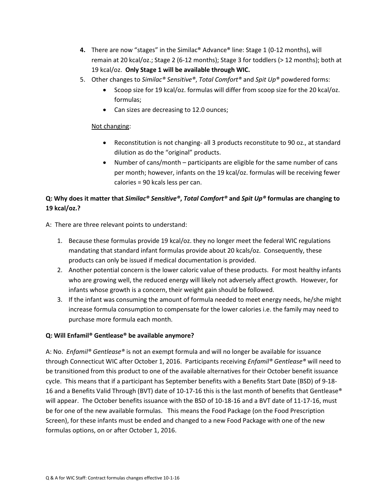- **4.** There are now "stages" in the Similac® Advance® line: Stage 1 (0-12 months), will remain at 20 kcal/oz.; Stage 2 (6-12 months); Stage 3 for toddlers (> 12 months); both at 19 kcal/oz. **Only Stage 1 will be available through WIC.**
- 5. Other changes to *Similac® Sensitive®*, *Total Comfort®* and *Spit Up®* powdered forms:
	- Scoop size for 19 kcal/oz. formulas will differ from scoop size for the 20 kcal/oz. formulas;
	- Can sizes are decreasing to 12.0 ounces;

### Not changing:

- Reconstitution is not changing- all 3 products reconstitute to 90 oz., at standard dilution as do the "original" products.
- Number of cans/month participants are eligible for the same number of cans per month; however, infants on the 19 kcal/oz. formulas will be receiving fewer calories = 90 kcals less per can.

# **Q: Why does it matter that** *Similac® Sensitive®***,** *Total Comfort®* **and** *Spit Up®* **formulas are changing to 19 kcal/oz.?**

A: There are three relevant points to understand:

- 1. Because these formulas provide 19 kcal/oz. they no longer meet the federal WIC regulations mandating that standard infant formulas provide about 20 kcals/oz. Consequently, these products can only be issued if medical documentation is provided.
- 2. Another potential concern is the lower caloric value of these products. For most healthy infants who are growing well, the reduced energy will likely not adversely affect growth. However, for infants whose growth is a concern, their weight gain should be followed.
- 3. If the infant was consuming the amount of formula needed to meet energy needs, he/she might increase formula consumption to compensate for the lower calories i.e. the family may need to purchase more formula each month.

## **Q: Will Enfamil® Gentlease® be available anymore?**

A: No. *Enfamil® Gentlease®* is not an exempt formula and will no longer be available for issuance through Connecticut WIC after October 1, 2016. Participants receiving *Enfamil® Gentlease®* will need to be transitioned from this product to one of the available alternatives for their October benefit issuance cycle. This means that if a participant has September benefits with a Benefits Start Date (BSD) of 9-18- 16 and a Benefits Valid Through (BVT) date of 10-17-16 this is the last month of benefits that Gentlease® will appear. The October benefits issuance with the BSD of 10-18-16 and a BVT date of 11-17-16, must be for one of the new available formulas. This means the Food Package (on the Food Prescription Screen), for these infants must be ended and changed to a new Food Package with one of the new formulas options, on or after October 1, 2016.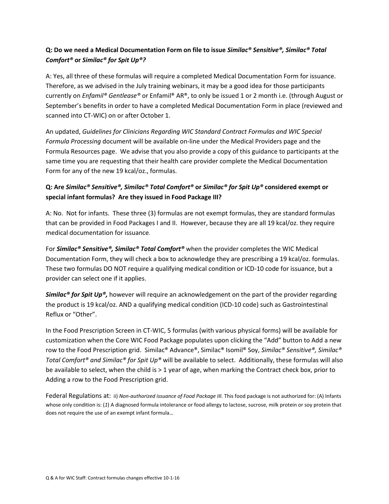## **Q: Do we need a Medical Documentation Form on file to issue** *Similac® Sensitive®, Similac® Total Comfort®* **or** *Similac® for Spit Up®?*

A: Yes, all three of these formulas will require a completed Medical Documentation Form for issuance. Therefore, as we advised in the July training webinars, it may be a good idea for those participants currently on *Enfamil® Gentlease®* or Enfamil® AR®, to only be issued 1 or 2 month i.e. (through August or September's benefits in order to have a completed Medical Documentation Form in place (reviewed and scanned into CT-WIC) on or after October 1.

An updated, *Guidelines for Clinicians Regarding WIC Standard Contract Formulas and WIC Special Formula Processing* document will be available on-line under the Medical Providers page and the Formula Resources page. We advise that you also provide a copy of this guidance to participants at the same time you are requesting that their health care provider complete the Medical Documentation Form for any of the new 19 kcal/oz., formulas.

# **Q: Are** *Similac® Sensitive®, Similac® Total Comfort®* **or** *Similac® for Spit Up®* **considered exempt or special infant formulas? Are they issued in Food Package III?**

A: No. Not for infants. These three (3) formulas are not exempt formulas, they are standard formulas that can be provided in Food Packages I and II. However, because they are all 19 kcal/oz. they require medical documentation for issuance.

For *Similac® Sensitive®, Similac® Total Comfort®* when the provider completes the WIC Medical Documentation Form, they will check a box to acknowledge they are prescribing a 19 kcal/oz. formulas. These two formulas DO NOT require a qualifying medical condition or ICD-10 code for issuance, but a provider can select one if it applies.

*Similac<sup>®</sup> for Spit Up<sup>®</sup>,* however will require an acknowledgement on the part of the provider regarding the product is 19 kcal/oz. AND a qualifying medical condition (ICD-10 code) such as Gastrointestinal Reflux or "Other".

In the Food Prescription Screen in CT-WIC, 5 formulas (with various physical forms) will be available for customization when the Core WIC Food Package populates upon clicking the "Add" button to Add a new row to the Food Prescription grid. Similac® Advance®, Similac® Isomil® Soy, *Similac® Sensitive®, Similac® Total Comfort® and Similac® for Spit Up®* will be available to select. Additionally, these formulas will also be available to select, when the child is > 1 year of age, when marking the Contract check box, prior to Adding a row to the Food Prescription grid.

Federal Regulations at: ii) *Non-authorized issuance of Food Package III.* This food package is not authorized for: (A) Infants whose only condition is: (1) A diagnosed formula intolerance or food allergy to lactose, sucrose, milk protein or soy protein that does not require the use of an exempt infant formula…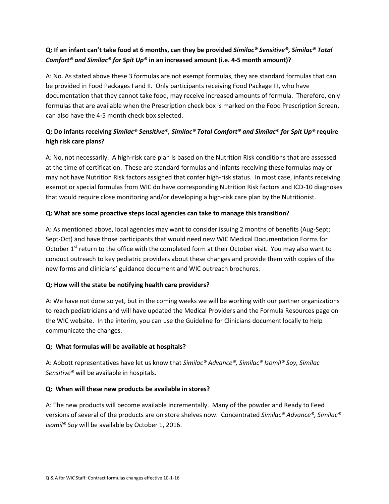# **Q: If an infant can't take food at 6 months, can they be provided** *Similac® Sensitive®, Similac® Total Comfort® and Similac® for Spit Up®* **in an increased amount (i.e. 4-5 month amount)?**

A: No. As stated above these 3 formulas are not exempt formulas, they are standard formulas that can be provided in Food Packages I and II. Only participants receiving Food Package III, who have documentation that they cannot take food, may receive increased amounts of formula. Therefore, only formulas that are available when the Prescription check box is marked on the Food Prescription Screen, can also have the 4-5 month check box selected.

# **Q: Do infants receiving** *Similac® Sensitive®, Similac® Total Comfort® and Similac® for Spit Up®* **require high risk care plans?**

A: No, not necessarily. A high-risk care plan is based on the Nutrition Risk conditions that are assessed at the time of certification. These are standard formulas and infants receiving these formulas may or may not have Nutrition Risk factors assigned that confer high-risk status. In most case, infants receiving exempt or special formulas from WIC do have corresponding Nutrition Risk factors and ICD-10 diagnoses that would require close monitoring and/or developing a high-risk care plan by the Nutritionist.

## **Q: What are some proactive steps local agencies can take to manage this transition?**

A: As mentioned above, local agencies may want to consider issuing 2 months of benefits (Aug-Sept; Sept-Oct) and have those participants that would need new WIC Medical Documentation Forms for October  $1<sup>st</sup>$  return to the office with the completed form at their October visit. You may also want to conduct outreach to key pediatric providers about these changes and provide them with copies of the new forms and clinicians' guidance document and WIC outreach brochures.

### **Q: How will the state be notifying health care providers?**

A: We have not done so yet, but in the coming weeks we will be working with our partner organizations to reach pediatricians and will have updated the Medical Providers and the Formula Resources page on the WIC website. In the interim, you can use the Guideline for Clinicians document locally to help communicate the changes.

### **Q: What formulas will be available at hospitals?**

A: Abbott representatives have let us know that *Similac® Advance®, Similac® Isomil® Soy, Similac Sensitive®* will be available in hospitals.

### **Q: When will these new products be available in stores?**

A: The new products will become available incrementally. Many of the powder and Ready to Feed versions of several of the products are on store shelves now. Concentrated *Similac® Advance®, Similac® Isomil® Soy* will be available by October 1, 2016.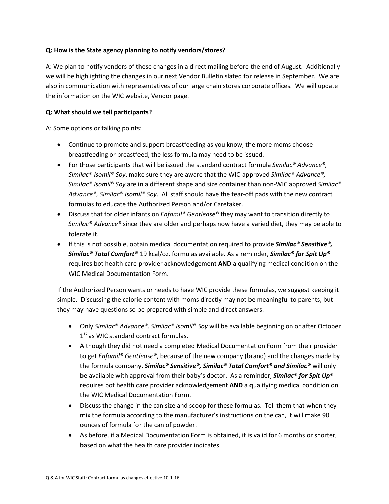### **Q: How is the State agency planning to notify vendors/stores?**

A: We plan to notify vendors of these changes in a direct mailing before the end of August. Additionally we will be highlighting the changes in our next Vendor Bulletin slated for release in September. We are also in communication with representatives of our large chain stores corporate offices. We will update the information on the WIC website, Vendor page.

### **Q: What should we tell participants?**

A: Some options or talking points:

- Continue to promote and support breastfeeding as you know, the more moms choose breastfeeding or breastfeed, the less formula may need to be issued.
- For those participants that will be issued the standard contract formula *Similac® Advance®, Similac® Isomil® Soy*, make sure they are aware that the WIC-approved *Similac® Advance®, Similac® Isomil® Soy* are in a different shape and size container than non-WIC approved *Similac® Advance®, Similac® Isomil® Soy*. All staff should have the tear-off pads with the new contract formulas to educate the Authorized Person and/or Caretaker.
- Discuss that for older infants on *Enfamil® Gentlease®* they may want to transition directly to *Similac® Advance®* since they are older and perhaps now have a varied diet, they may be able to tolerate it.
- If this is not possible, obtain medical documentation required to provide *Similac® Sensitive®, Similac® Total Comfort®* 19 kcal/oz. formulas available. As a reminder, *Similac® for Spit Up®*  requires bot health care provider acknowledgement **AND** a qualifying medical condition on the WIC Medical Documentation Form.

If the Authorized Person wants or needs to have WIC provide these formulas, we suggest keeping it simple. Discussing the calorie content with moms directly may not be meaningful to parents, but they may have questions so be prepared with simple and direct answers.

- Only *Similac® Advance®, Similac® Isomil® Soy* will be available beginning on or after October 1<sup>st</sup> as WIC standard contract formulas.
- Although they did not need a completed Medical Documentation Form from their provider to get *Enfamil® Gentlease®*, because of the new company (brand) and the changes made by the formula company, *Similac® Sensitive®, Similac® Total Comfort® and Similac®* will only be available with approval from their baby's doctor. As a reminder, *Similac® for Spit Up®*  requires bot health care provider acknowledgement **AND** a qualifying medical condition on the WIC Medical Documentation Form.
- Discuss the change in the can size and scoop for these formulas. Tell them that when they mix the formula according to the manufacturer's instructions on the can, it will make 90 ounces of formula for the can of powder.
- As before, if a Medical Documentation Form is obtained, it is valid for 6 months or shorter, based on what the health care provider indicates.